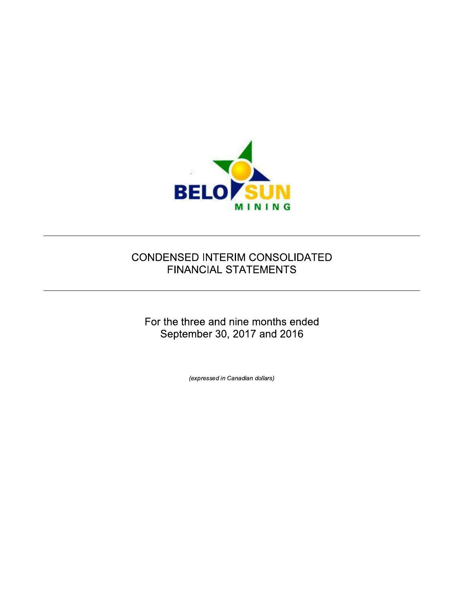

# CONDENSED INTERIM CONSOLIDATED **FINANCIAL STATEMENTS**

For the three and nine months ended September 30, 2017 and 2016

(expressed in Canadian dollars)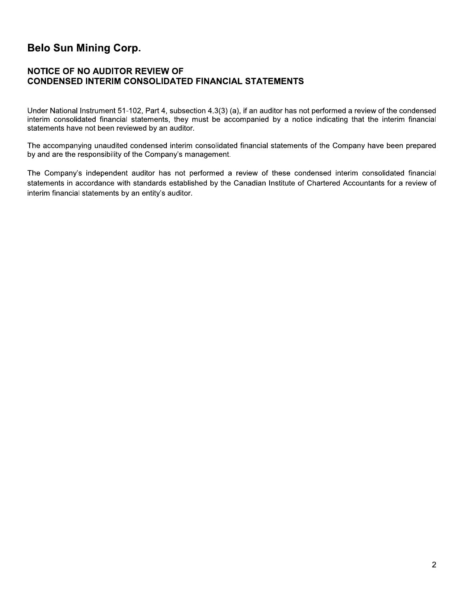# **Belo Sun Mining Corp.**

## **NOTICE OF NO AUDITOR REVIEW OF CONDENSED INTERIM CONSOLIDATED FINANCIAL STATEMENTS**

Under National Instrument 51-102, Part 4, subsection 4.3(3) (a), if an auditor has not performed a review of the condensed interim consolidated financial statements, they must be accompanied by a notice indicating that the interim financial statements have not been reviewed by an auditor.

The accompanying unaudited condensed interim consolidated financial statements of the Company have been prepared by and are the responsibility of the Company's management.

The Company's independent auditor has not performed a review of these condensed interim consolidated financial statements in accordance with standards established by the Canadian Institute of Chartered Accountants for a review of interim financial statements by an entity's auditor.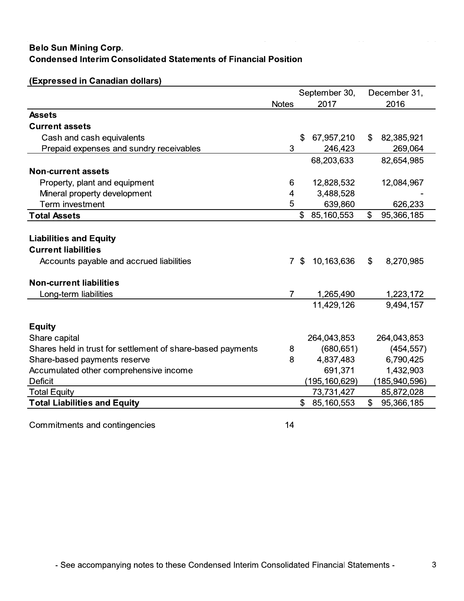# **Belo Sun Mining Corp. Condensed Interim Consolidated Statements of Financial Position**

|                                                             |                |                | September 30,   | December 31,     |
|-------------------------------------------------------------|----------------|----------------|-----------------|------------------|
|                                                             | <b>Notes</b>   |                | 2017            | 2016             |
| <b>Assets</b>                                               |                |                |                 |                  |
| <b>Current assets</b>                                       |                |                |                 |                  |
| Cash and cash equivalents                                   |                | \$             | 67,957,210      | \$<br>82,385,921 |
| Prepaid expenses and sundry receivables                     | 3              |                | 246,423         | 269,064          |
|                                                             |                |                | 68,203,633      | 82,654,985       |
| <b>Non-current assets</b>                                   |                |                |                 |                  |
| Property, plant and equipment                               | 6              |                | 12,828,532      | 12,084,967       |
| Mineral property development                                | 4              |                | 3,488,528       |                  |
| Term investment                                             | 5              |                | 639,860         | 626,233          |
| <b>Total Assets</b>                                         |                | \$             | 85,160,553      | \$<br>95,366,185 |
|                                                             |                |                |                 |                  |
| <b>Liabilities and Equity</b>                               |                |                |                 |                  |
| <b>Current liabilities</b>                                  |                |                |                 |                  |
| Accounts payable and accrued liabilities                    | $\mathbf{7}$   | $\mathfrak{L}$ | 10,163,636      | \$<br>8,270,985  |
|                                                             |                |                |                 |                  |
| <b>Non-current liabilities</b>                              |                |                |                 |                  |
| Long-term liabilities                                       | $\overline{7}$ |                | 1,265,490       | 1,223,172        |
|                                                             |                |                | 11,429,126      | 9,494,157        |
|                                                             |                |                |                 |                  |
| <b>Equity</b>                                               |                |                |                 |                  |
| Share capital                                               |                |                | 264,043,853     | 264,043,853      |
| Shares held in trust for settlement of share-based payments | 8              |                | (680, 651)      | (454, 557)       |
| Share-based payments reserve                                | 8              |                | 4,837,483       | 6,790,425        |
| Accumulated other comprehensive income                      |                |                | 691,371         | 1,432,903        |
| <b>Deficit</b>                                              |                |                | (195, 160, 629) | (185,940,596)    |
| <b>Total Equity</b>                                         |                |                | 73,731,427      | 85,872,028       |
| <b>Total Liabilities and Equity</b>                         |                | \$             | 85,160,553      | \$<br>95,366,185 |

## (Expressed in Canadian dollars)

Commitments and contingencies

 $14$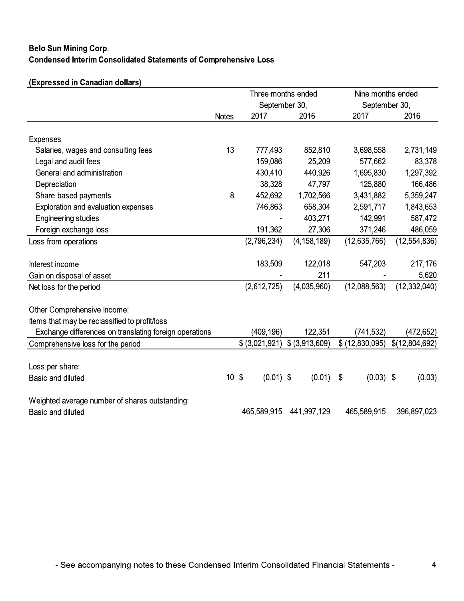# **Belo Sun Mining Corp. Condensed Interim Consolidated Statements of Comprehensive Loss**

# (Expressed in Canadian dollars)

|                                                        |                 | Three months ended |                | Nine months ended |                |  |
|--------------------------------------------------------|-----------------|--------------------|----------------|-------------------|----------------|--|
|                                                        |                 | September 30,      |                | September 30,     |                |  |
|                                                        | <b>Notes</b>    | 2017               | 2016           | 2017              | 2016           |  |
| <b>Expenses</b>                                        |                 |                    |                |                   |                |  |
| Salaries, wages and consulting fees                    | 13              | 777,493            | 852,810        | 3,698,558         | 2,731,149      |  |
| Legal and audit fees                                   |                 | 159,086            | 25,209         | 577,662           | 83,378         |  |
| General and administration                             |                 | 430,410            | 440,926        | 1,695,830         | 1,297,392      |  |
| Depreciation                                           |                 | 38,328             | 47,797         | 125,880           | 166,486        |  |
| Share-based payments                                   | 8               | 452,692            | 1,702,566      | 3,431,882         | 5,359,247      |  |
| Exploration and evaluation expenses                    |                 | 746,863            | 658,304        | 2,591,717         | 1,843,653      |  |
| <b>Engineering studies</b>                             |                 |                    | 403,271        | 142,991           | 587,472        |  |
| Foreign exchange loss                                  |                 | 191,362            | 27,306         | 371,246           | 486,059        |  |
| Loss from operations                                   |                 | (2,796,234)        | (4, 158, 189)  | (12,635,766)      | (12, 554, 836) |  |
| Interest income                                        |                 | 183,509            | 122,018        | 547,203           | 217,176        |  |
| Gain on disposal of asset                              |                 |                    | 211            |                   | 5,620          |  |
| Net loss for the period                                |                 | (2,612,725)        | (4,035,960)    | (12,088,563)      | (12, 332, 040) |  |
| Other Comprehensive Income:                            |                 |                    |                |                   |                |  |
| Items that may be reclassified to profit/loss          |                 |                    |                |                   |                |  |
| Exchange differences on translating foreign operations |                 | (409, 196)         | 122,351        | (741,532)         | (472, 652)     |  |
| Comprehensive loss for the period                      |                 | \$ (3,021,921)     | \$ (3,913,609) | \$(12,830,095)    | \$(12,804,692) |  |
|                                                        |                 |                    |                |                   |                |  |
| Loss per share:                                        |                 |                    |                |                   |                |  |
| Basic and diluted                                      | 10 <sup>5</sup> | $(0.01)$ \$        | (0.01)         | $(0.03)$ \$<br>\$ | (0.03)         |  |
| Weighted average number of shares outstanding:         |                 |                    |                |                   |                |  |
| Basic and diluted                                      |                 | 465,589,915        | 441,997,129    | 465,589,915       | 396,897,023    |  |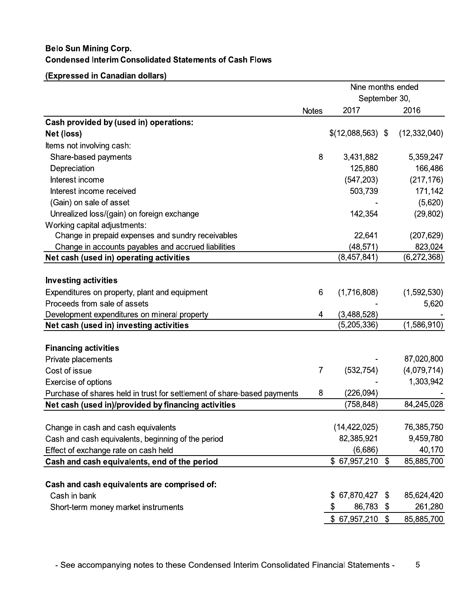# **Belo Sun Mining Corp. Condensed Interim Consolidated Statements of Cash Flows**

(Expressed in Canadian dollars)

|                                                                         |              | Nine months ended            |                           |                |
|-------------------------------------------------------------------------|--------------|------------------------------|---------------------------|----------------|
|                                                                         |              | September 30,                |                           |                |
|                                                                         | <b>Notes</b> | 2017                         |                           | 2016           |
| Cash provided by (used in) operations:                                  |              |                              |                           |                |
| Net (loss)                                                              |              | $$(12,088,563)$ \;           |                           | (12, 332, 040) |
| Items not involving cash:                                               |              |                              |                           |                |
| Share-based payments                                                    | 8            | 3,431,882                    |                           | 5,359,247      |
| Depreciation                                                            |              | 125,880                      |                           | 166,486        |
| Interest income                                                         |              | (547, 203)                   |                           | (217, 176)     |
| Interest income received                                                |              | 503,739                      |                           | 171,142        |
| (Gain) on sale of asset                                                 |              |                              |                           | (5,620)        |
| Unrealized loss/(gain) on foreign exchange                              |              | 142,354                      |                           | (29, 802)      |
| Working capital adjustments:                                            |              |                              |                           |                |
| Change in prepaid expenses and sundry receivables                       |              | 22,641                       |                           | (207, 629)     |
| Change in accounts payables and accrued liabilities                     |              | (48,571)                     |                           | 823,024        |
| Net cash (used in) operating activities                                 |              | (8,457,841)                  |                           | (6,272,368)    |
|                                                                         |              |                              |                           |                |
| <b>Investing activities</b>                                             |              |                              |                           |                |
| Expenditures on property, plant and equipment                           | 6            | (1,716,808)                  |                           | (1,592,530)    |
| Proceeds from sale of assets                                            |              |                              |                           | 5,620          |
| Development expenditures on mineral property                            | 4            | (3,488,528)                  |                           |                |
| Net cash (used in) investing activities                                 |              | (5,205,336)                  |                           | (1,586,910)    |
|                                                                         |              |                              |                           |                |
| <b>Financing activities</b>                                             |              |                              |                           |                |
| Private placements                                                      |              |                              |                           | 87,020,800     |
| Cost of issue                                                           | 7            | (532, 754)                   |                           | (4,079,714)    |
| Exercise of options                                                     |              |                              |                           | 1,303,942      |
| Purchase of shares held in trust for settlement of share-based payments | 8            | (226,094)                    |                           |                |
| Net cash (used in)/provided by financing activities                     |              | (758, 848)                   |                           | 84,245,028     |
|                                                                         |              |                              |                           |                |
| Change in cash and cash equivalents                                     |              | (14, 422, 025)<br>82,385,921 |                           | 76,385,750     |
| Cash and cash equivalents, beginning of the period                      |              |                              |                           | 9,459,780      |
| Effect of exchange rate on cash held                                    |              | (6,686)                      |                           | 40,170         |
| Cash and cash equivalents, end of the period                            |              | \$67,957,210                 | $\mathfrak{F}$            | 85,885,700     |
| Cash and cash equivalents are comprised of:                             |              |                              |                           |                |
| Cash in bank                                                            |              | 67,870,427<br>\$             | $\boldsymbol{\mathsf{S}}$ | 85,624,420     |
| Short-term money market instruments                                     |              | 86,783 \$<br>\$              |                           | 261,280        |
|                                                                         |              | $$67,957,210$ \,             |                           | 85,885,700     |
|                                                                         |              |                              |                           |                |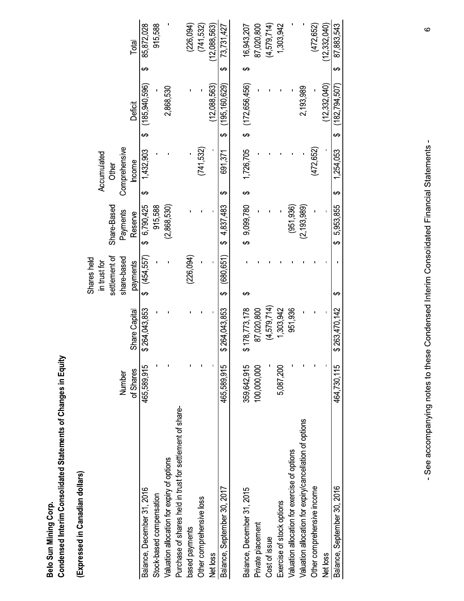| dining Corr | erim Consolidated Statements of Changes in Equit- |
|-------------|---------------------------------------------------|
| $\ddot{ }$  | ח הפפח                                            |
| Belo Sur    | <b>Pouc</b>                                       |

(Expressed in Canadian dollars)

|                                                           |             |               | Shares held      |                |   |               |    |                 |   |              |
|-----------------------------------------------------------|-------------|---------------|------------------|----------------|---|---------------|----|-----------------|---|--------------|
|                                                           |             |               | in trust for     |                |   | Accumulated   |    |                 |   |              |
|                                                           |             |               | settlement of    | Share-Based    |   | Other         |    |                 |   |              |
|                                                           | Number      |               | share-based      | Payments       |   | Comprehensive |    |                 |   |              |
|                                                           | of Shares   | Share Capital | payments         | Reserve        |   | Income        |    | Deficit         |   | Total        |
| Balance, December 31, 2016                                | 465,589,915 | \$264,043,853 | (454, 557)<br>မာ | \$ 6,790,425   | ക | 1,432,903     | မာ | (185,940,596)   | ക | 85,872,028   |
| Stock-based compensation                                  |             |               |                  | 915,588        |   |               |    |                 |   | 915,588      |
| Valuation allocation for expiry of options                |             |               |                  | (2,868,530)    |   |               |    | 2,868,530       |   |              |
| Purchase of shares held in trust for settlement of share- |             |               |                  |                |   |               |    |                 |   |              |
| based payments                                            |             |               | (226,094)        |                |   |               |    |                 |   | (226,094)    |
| Other comprehensive loss                                  |             |               |                  |                |   | (741,532)     |    |                 |   | (741, 532)   |
| Net loss                                                  |             |               |                  |                |   |               |    | (12,088,563)    |   | 12,088,563)  |
| Balance, September 30, 2017                               | 465,589,915 | \$264,043,853 | (680, 651)<br>↔  | 4,837,483<br>ക | ക | 691,371       | ക  | (195, 160, 629) | ക | 73,731,427   |
|                                                           |             |               |                  |                |   |               |    |                 |   |              |
| Balance, December 31, 2015                                | 359,642,915 | \$178,773,178 | ക                | \$9,099,780    | ക | 1,726,705     | ക  | 172,656,456)    |   | 16,943,207   |
| Private placement                                         | 100,000,000 | 87,020,800    |                  |                |   |               |    |                 |   | 87,020,800   |
| Cost of issue                                             |             | (4,579,714)   |                  |                |   |               |    |                 |   | (4,579,714)  |
| Exercise of stock options                                 | 5,087,200   | 1,303,942     |                  |                |   |               |    |                 |   | 1,303,942    |
| Valuation allocation for exercise of options              |             | 951,936       |                  | (951, 936)     |   |               |    |                 |   |              |
| Valuation allocation for expiry/cancellation of options   |             |               |                  | (2, 193, 989)  |   |               |    | 2,193,989       |   |              |
| Other comprehensive income                                |             |               |                  |                |   | (472, 652)    |    |                 |   | (472, 652)   |
| Net loss                                                  |             |               |                  |                |   |               |    | (12.332.040)    |   | (12.332.040) |
| Balance, September 30, 2016                               | 464,730,115 | \$263,470,142 | ക                | 5,953,855<br>ക | ക | 1,254,053     | ക  | (182, 794, 507) | ക | 87,883,543   |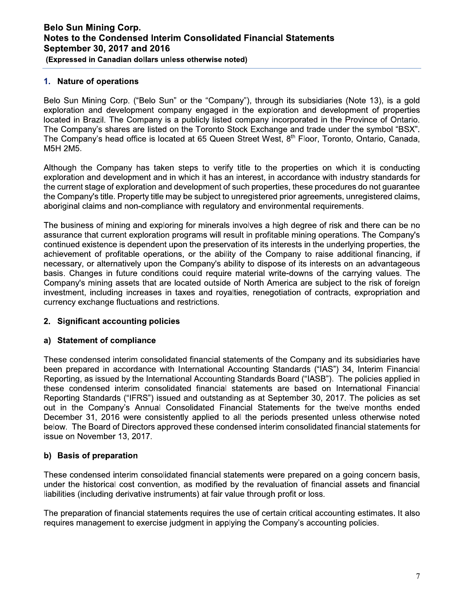### 1. Nature of operations

Belo Sun Mining Corp. ("Belo Sun" or the "Company"), through its subsidiaries (Note 13), is a gold exploration and development company engaged in the exploration and development of properties located in Brazil. The Company is a publicly listed company incorporated in the Province of Ontario. The Company's shares are listed on the Toronto Stock Exchange and trade under the symbol "BSX". The Company's head office is located at 65 Queen Street West, 8<sup>th</sup> Floor, Toronto, Ontario, Canada, M5H 2M5.

Although the Company has taken steps to verify title to the properties on which it is conducting exploration and development and in which it has an interest, in accordance with industry standards for the current stage of exploration and development of such properties, these procedures do not quarantee the Company's title. Property title may be subject to unregistered prior agreements, unregistered claims, aboriginal claims and non-compliance with regulatory and environmental requirements.

The business of mining and exploring for minerals involves a high degree of risk and there can be no assurance that current exploration programs will result in profitable mining operations. The Company's continued existence is dependent upon the preservation of its interests in the underlying properties, the achievement of profitable operations, or the ability of the Company to raise additional financing, if necessary, or alternatively upon the Company's ability to dispose of its interests on an advantageous basis. Changes in future conditions could require material write-downs of the carrying values. The Company's mining assets that are located outside of North America are subject to the risk of foreign investment, including increases in taxes and royalties, renegotiation of contracts, expropriation and currency exchange fluctuations and restrictions.

### 2. Significant accounting policies

### a) Statement of compliance

These condensed interim consolidated financial statements of the Company and its subsidiaries have been prepared in accordance with International Accounting Standards ("IAS") 34, Interim Financial Reporting, as issued by the International Accounting Standards Board ("IASB"). The policies applied in these condensed interim consolidated financial statements are based on International Financial Reporting Standards ("IFRS") issued and outstanding as at September 30, 2017. The policies as set out in the Company's Annual Consolidated Financial Statements for the twelve months ended December 31, 2016 were consistently applied to all the periods presented unless otherwise noted below. The Board of Directors approved these condensed interim consolidated financial statements for issue on November 13, 2017.

### b) Basis of preparation

These condensed interim consolidated financial statements were prepared on a going concern basis, under the historical cost convention, as modified by the revaluation of financial assets and financial liabilities (including derivative instruments) at fair value through profit or loss.

The preparation of financial statements requires the use of certain critical accounting estimates. It also requires management to exercise judgment in applying the Company's accounting policies.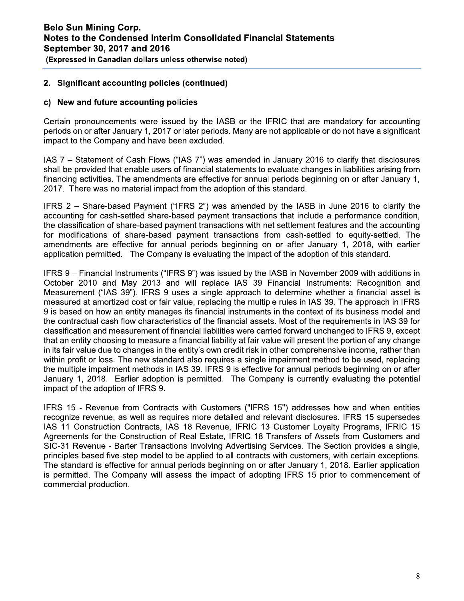### 2. Significant accounting policies (continued)

#### c) New and future accounting policies

Certain pronouncements were issued by the IASB or the IFRIC that are mandatory for accounting periods on or after January 1, 2017 or later periods. Many are not applicable or do not have a significant impact to the Company and have been excluded.

IAS 7 - Statement of Cash Flows ("IAS 7") was amended in January 2016 to clarify that disclosures shall be provided that enable users of financial statements to evaluate changes in liabilities arising from financing activities. The amendments are effective for annual periods beginning on or after January 1, 2017. There was no material impact from the adoption of this standard.

IFRS 2 - Share-based Payment ("IFRS 2") was amended by the IASB in June 2016 to clarify the accounting for cash-settled share-based payment transactions that include a performance condition, the classification of share-based payment transactions with net settlement features and the accounting for modifications of share-based payment transactions from cash-settled to equity-settled. The amendments are effective for annual periods beginning on or after January 1, 2018, with earlier application permitted. The Company is evaluating the impact of the adoption of this standard.

IFRS 9 – Financial Instruments ("IFRS 9") was issued by the IASB in November 2009 with additions in October 2010 and May 2013 and will replace IAS 39 Financial Instruments: Recognition and Measurement ("IAS 39"). IFRS 9 uses a single approach to determine whether a financial asset is measured at amortized cost or fair value, replacing the multiple rules in IAS 39. The approach in IFRS 9 is based on how an entity manages its financial instruments in the context of its business model and the contractual cash flow characteristics of the financial assets. Most of the requirements in IAS 39 for classification and measurement of financial liabilities were carried forward unchanged to IFRS 9, except that an entity choosing to measure a financial liability at fair value will present the portion of any change in its fair value due to changes in the entity's own credit risk in other comprehensive income, rather than within profit or loss. The new standard also requires a single impairment method to be used, replacing the multiple impairment methods in IAS 39. IFRS 9 is effective for annual periods beginning on or after January 1, 2018. Earlier adoption is permitted. The Company is currently evaluating the potential impact of the adoption of IFRS 9.

IFRS 15 - Revenue from Contracts with Customers ("IFRS 15") addresses how and when entities recognize revenue, as well as requires more detailed and relevant disclosures. IFRS 15 supersedes IAS 11 Construction Contracts, IAS 18 Revenue, IFRIC 13 Customer Lovalty Programs, IFRIC 15 Agreements for the Construction of Real Estate, IFRIC 18 Transfers of Assets from Customers and SIC-31 Revenue - Barter Transactions Involving Advertising Services. The Section provides a single, principles based five-step model to be applied to all contracts with customers, with certain exceptions. The standard is effective for annual periods beginning on or after January 1, 2018. Earlier application is permitted. The Company will assess the impact of adopting IFRS 15 prior to commencement of commercial production.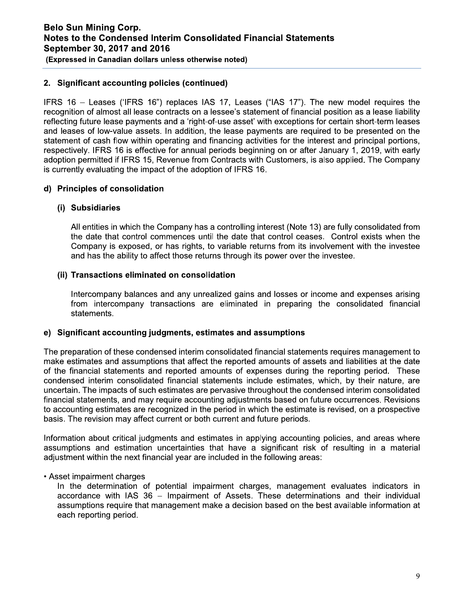### 2. Significant accounting policies (continued)

IFRS 16 – Leases ('IFRS 16") replaces IAS 17, Leases ("IAS 17"). The new model requires the recognition of almost all lease contracts on a lessee's statement of financial position as a lease liability reflecting future lease payments and a 'right-of-use asset' with exceptions for certain short-term leases and leases of low-value assets. In addition, the lease payments are required to be presented on the statement of cash flow within operating and financing activities for the interest and principal portions, respectively. IFRS 16 is effective for annual periods beginning on or after January 1, 2019, with early adoption permitted if IFRS 15, Revenue from Contracts with Customers, is also applied. The Company is currently evaluating the impact of the adoption of IFRS 16.

### d) Principles of consolidation

### (i) Subsidiaries

All entities in which the Company has a controlling interest (Note 13) are fully consolidated from the date that control commences until the date that control ceases. Control exists when the Company is exposed, or has rights, to variable returns from its involvement with the investee and has the ability to affect those returns through its power over the investee.

#### (ii) Transactions eliminated on consolidation

Intercompany balances and any unrealized gains and losses or income and expenses arising from intercompany transactions are eliminated in preparing the consolidated financial statements.

#### e) Significant accounting judgments, estimates and assumptions

The preparation of these condensed interim consolidated financial statements requires management to make estimates and assumptions that affect the reported amounts of assets and liabilities at the date of the financial statements and reported amounts of expenses during the reporting period. These condensed interim consolidated financial statements include estimates, which, by their nature, are uncertain. The impacts of such estimates are pervasive throughout the condensed interim consolidated financial statements, and may require accounting adjustments based on future occurrences. Revisions to accounting estimates are recognized in the period in which the estimate is revised, on a prospective basis. The revision may affect current or both current and future periods.

Information about critical judgments and estimates in applying accounting policies, and areas where assumptions and estimation uncertainties that have a significant risk of resulting in a material adjustment within the next financial year are included in the following areas:

#### • Asset impairment charges

In the determination of potential impairment charges, management evaluates indicators in accordance with IAS 36 – Impairment of Assets. These determinations and their individual assumptions require that management make a decision based on the best available information at each reporting period.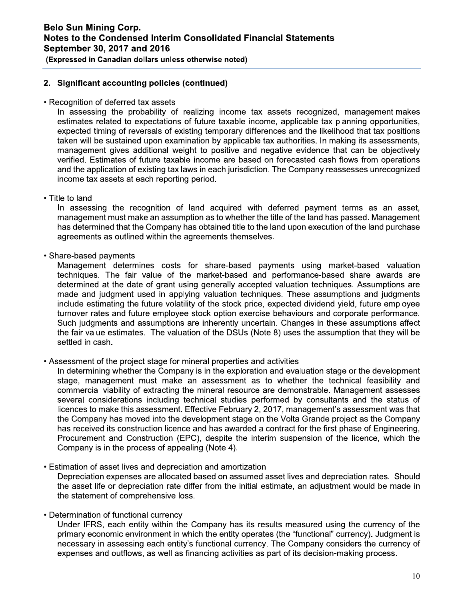(Expressed in Canadian dollars unless otherwise noted)

### 2. Significant accounting policies (continued)

• Recognition of deferred tax assets

In assessing the probability of realizing income tax assets recognized, management makes estimates related to expectations of future taxable income, applicable tax planning opportunities, expected timing of reversals of existing temporary differences and the likelihood that tax positions taken will be sustained upon examination by applicable tax authorities. In making its assessments, management gives additional weight to positive and negative evidence that can be objectively verified. Estimates of future taxable income are based on forecasted cash flows from operations and the application of existing tax laws in each jurisdiction. The Company reassesses unrecognized income tax assets at each reporting period.

• Title to land

In assessing the recognition of land acquired with deferred payment terms as an asset, management must make an assumption as to whether the title of the land has passed. Management has determined that the Company has obtained title to the land upon execution of the land purchase agreements as outlined within the agreements themselves.

• Share-based payments

Management determines costs for share-based payments using market-based valuation techniques. The fair value of the market-based and performance-based share awards are determined at the date of grant using generally accepted valuation techniques. Assumptions are made and judgment used in applying valuation techniques. These assumptions and judgments include estimating the future volatility of the stock price, expected dividend yield, future employee turnover rates and future employee stock option exercise behaviours and corporate performance. Such judgments and assumptions are inherently uncertain. Changes in these assumptions affect the fair value estimates. The valuation of the DSUs (Note 8) uses the assumption that they will be settled in cash.

• Assessment of the project stage for mineral properties and activities

In determining whether the Company is in the exploration and evaluation stage or the development stage, management must make an assessment as to whether the technical feasibility and commercial viability of extracting the mineral resource are demonstrable. Management assesses several considerations including technical studies performed by consultants and the status of licences to make this assessment. Effective February 2, 2017, management's assessment was that the Company has moved into the development stage on the Volta Grande project as the Company has received its construction licence and has awarded a contract for the first phase of Engineering, Procurement and Construction (EPC), despite the interim suspension of the licence, which the Company is in the process of appealing (Note 4).

• Estimation of asset lives and depreciation and amortization

Depreciation expenses are allocated based on assumed asset lives and depreciation rates. Should the asset life or depreciation rate differ from the initial estimate, an adjustment would be made in the statement of comprehensive loss.

• Determination of functional currency

Under IFRS, each entity within the Company has its results measured using the currency of the primary economic environment in which the entity operates (the "functional" currency). Judgment is necessary in assessing each entity's functional currency. The Company considers the currency of expenses and outflows, as well as financing activities as part of its decision-making process.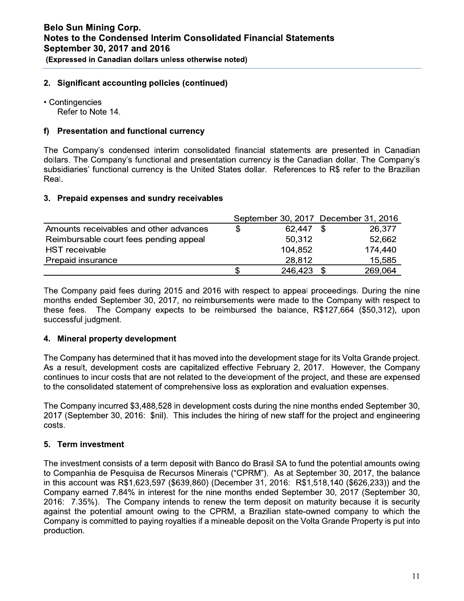#### $\mathbb{R}^{\mathbb{Z}}$ 2. Significant accounting policies (continued)

 $\mathbb{R}^2$ • Contingencies

Refer to Note 14.

#### $\mathbf{r}$ t) Presentation and functional currency

 $\overline{\phantom{a}}$ The Company's condensed interim consolidated financial statements are presented in Canadian dollars. The Company's functional and presentation currency is the Canadian dollar. The Company's subsidiaries' functional currency is the United States dollar. References to R\$ refer to the Brazilian Real.

#### i.<br>L 3. Prepaid expenses and sundry recelvables

|                                        |   |         | September 30, 2017 December 31, 2016 |
|----------------------------------------|---|---------|--------------------------------------|
| Amounts receivables and other advances | S | 62,447  | 26,377                               |
| Reimbursable court fees pending appeal |   | 50,312  | 52,662                               |
| <b>HST</b> receivable                  |   | 104,852 | 174,440                              |
| Prepaid insurance                      |   | 28,812  | 15,585                               |
|                                        |   | 246,423 | 269,064                              |
|                                        |   |         |                                      |

The Company paid fees during 2015 and 2016 with respect to appeal proceedings. During the nine months ended September 30, 2017, no reimbursements were made to the Company with respect to these fees. The Company expects to be reimbursed the balance, R\$127,664 (\$50,312), upon successful judgment.

#### $\mathbb{R}^{\mathbb{Z}}$ 4. wineral property development

 $\mathbb{R}^2$ The Company has determined that it has moved into the development stage for its Volta Grande project. As a result, development costs are capitalized effective February 2, 2017. However, the Company continues to incur costs that are not related to the development of the project, and these are expensed to the consolidated statement of comprehensive loss as exploration and evaluation expenses.

 $\mathbb{L}$ The Company incurred \$3,488,528 in development costs during the nine months ended September 30, 2017 (September 30, 2016: \$nil). This includes the hiring of new staff for the project and engineering costs.

#### $\mathbb{Z}^{\mathbb{Z}}$ 5. Term investment

the term deposit on maturity because it is security<br>
N, a Brazilian state-owned company to which the<br>
eable deposit on the Volta Grande Property is put into<br>  $11$  $\overline{\phantom{a}}$ The investment consists of a term deposit with Banco do Brasil SA to fund the potential amounts owing to Companhia de Pesquisa de Recursos Minerais ("CPRM"). As at September 30, 2017, the balance in this account was R\$1,623,597 (\$639,860) (December 31, 2016: R\$1,518,140 (\$626,233)) and the Company earned 7.84% in interest for the nine months ended September 30, 2017 (September 30, 2016: 7.35%). The Company intends to renew the term deposit on maturity because it is security against the potential amount owing to the CPRM, a Brazilian state-owned company to which the Company is committed to paying royalties if a mineable deposit on the Volta Grande Property is put into production.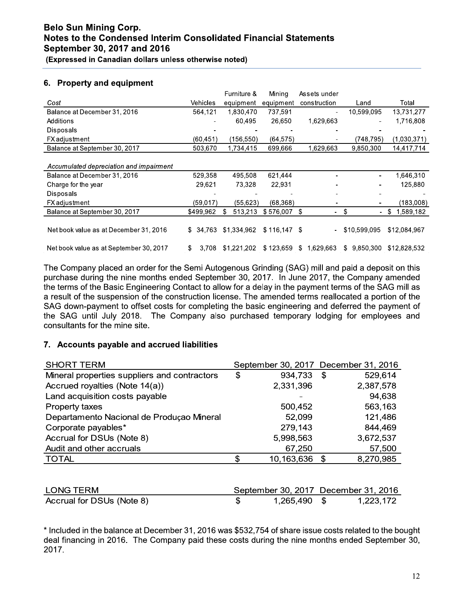# (Expressed in Canadian dollars unless otherwise noted)

### 6. Property and equipment

|                                         |             | Furniture & | Mining        | Assets under             |                      |                 |
|-----------------------------------------|-------------|-------------|---------------|--------------------------|----------------------|-----------------|
| Cost                                    | Vehicles    | equipment   | equipment     | construction             | Land                 | Total           |
| Balance at December 31, 2016            | 564,121     | 1,830,470   | 737,591       |                          | 10,599,095           | 13,731,277      |
| Additions                               |             | 60,495      | 26,650        | 1,629,663                |                      | 1,716,808       |
| Disposals                               |             |             |               |                          |                      |                 |
| <b>FX</b> adjustment                    | (60, 451)   | (156,550)   | (64, 575)     |                          | (748.795)            | (1,030,371)     |
| Balance at September 30, 2017           | 503,670     | 1,734,415   | 699.666       | 1,629,663                | 9,850,300            | 14,417,714      |
|                                         |             |             |               |                          |                      |                 |
| Accumulated depreciation and impairment |             |             |               |                          |                      |                 |
| Balance at December 31, 2016            | 529,358     | 495,508     | 621.444       |                          | ٠                    | 1,646,310       |
| Charge for the year                     | 29.621      | 73,328      | 22,931        |                          |                      | 125,880         |
| Disposals                               |             |             |               |                          |                      |                 |
| <b>FX</b> adjustment                    | (59,017)    | (55, 623)   | (68, 368)     |                          |                      | (183,008)       |
| Balance at September 30, 2017           | \$499,962   | 513,213     | \$576,007     | S<br>۰                   | \$<br>$\blacksquare$ | 1,589,182<br>S. |
|                                         |             |             |               |                          |                      |                 |
| Net book value as at December 31, 2016  | \$34.763    | \$1,334,962 | $$116,147$ \$ | $\overline{\phantom{a}}$ | \$10,599,095         | \$12,084,967    |
|                                         |             |             |               |                          |                      |                 |
| Net book value as at September 30, 2017 | \$<br>3.708 | \$1,221,202 | \$123,659     | 1,629,663<br>S.          | \$<br>9.850.300      | \$12,828,532    |

The Company placed an order for the Semi Autogenous Grinding (SAG) mill and paid a deposit on this purchase during the nine months ended September 30, 2017. In June 2017, the Company amended the terms of the Basic Engineering Contact to allow for a delay in the payment terms of the SAG mill as a result of the suspension of the construction license. The amended terms reallocated a portion of the SAG down-payment to offset costs for completing the basic engineering and deferred the payment of the SAG until July 2018. The Company also purchased temporary lodging for employees and consultants for the mine site.

### 7. Accounts payable and accrued liabilities

| <b>SHORT TERM</b>                            | September 30, 2017 December 31, 2016 |                 |
|----------------------------------------------|--------------------------------------|-----------------|
| Mineral properties suppliers and contractors | 934,733<br>\$                        | 529,614<br>-\$  |
| Accrued royalties (Note 14(a))               | 2,331,396                            | 2,387,578       |
| Land acquisition costs payable               |                                      | 94,638          |
| Property taxes                               | 500,452                              | 563,163         |
| Departamento Nacional de Produçao Mineral    | 52,099                               | 121,486         |
| Corporate payables*                          | 279,143                              | 844,469         |
| Accrual for DSUs (Note 8)                    | 5,998,563                            | 3,672,537       |
| Audit and other accruals                     | 67,250                               | 57,500          |
| <b>TOTAL</b>                                 | 10,163,636<br>S                      | 8,270,985<br>-S |

| LONG TERM                 |              | September 30, 2017 December 31, 2016 |
|---------------------------|--------------|--------------------------------------|
| Accrual for DSUs (Note 8) | 1,265,490 \$ | 1,223,172                            |

\* Included in the balance at December 31, 2016 was \$532,754 of share issue costs related to the bought deal financing in 2016. The Company paid these costs during the nine months ended September 30, 2017.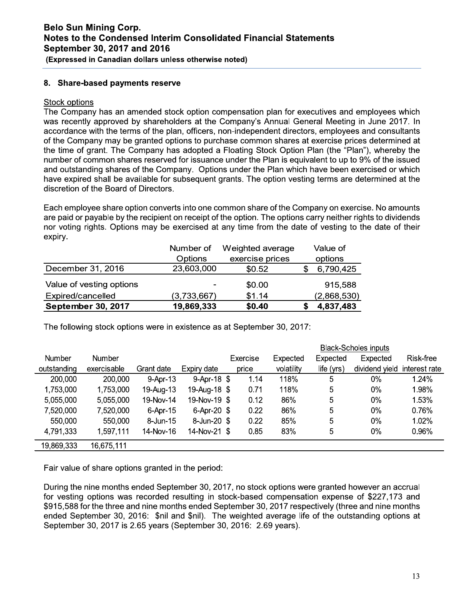### 8. Share-based payments reserve

#### Stock options

The Company has an amended stock option compensation plan for executives and employees which was recently approved by shareholders at the Company's Annual General Meeting in June 2017. In accordance with the terms of the plan, officers, non-independent directors, employees and consultants of the Company may be granted options to purchase common shares at exercise prices determined at the time of grant. The Company has adopted a Floating Stock Option Plan (the "Plan"), whereby the number of common shares reserved for issuance under the Plan is equivalent to up to 9% of the issued and outstanding shares of the Company. Options under the Plan which have been exercised or which have expired shall be available for subsequent grants. The option vesting terms are determined at the discretion of the Board of Directors.

Each employee share option converts into one common share of the Company on exercise. No amounts are paid or payable by the recipient on receipt of the option. The options carry neither rights to dividends nor voting rights. Options may be exercised at any time from the date of vesting to the date of their expiry.

|                           | Number of   | Weighted average | Value of    |
|---------------------------|-------------|------------------|-------------|
|                           | Options     | exercise prices  | options     |
| December 31, 2016         | 23,603,000  | \$0.52           | 6,790,425   |
| Value of vesting options  |             | \$0.00           | 915,588     |
| Expired/cancelled         | (3,733,667) | \$1.14           | (2,868,530) |
| <b>September 30, 2017</b> | 19,869,333  | \$0.40           | 4,837,483   |

The following stock options were in existence as at September 30, 2017:

|             |             |            |              |          |            |            | <b>Black-Scholes inputs</b> |               |
|-------------|-------------|------------|--------------|----------|------------|------------|-----------------------------|---------------|
| Number      | Number      |            |              | Exercise | Expected   | Expected   | Expected                    | Risk-free     |
| outstanding | exercisable | Grant date | Expiry date  | price    | volatility | life (yrs) | dividend yield              | interest rate |
| 200,000     | 200,000     | 9-Apr-13   | 9-Apr-18 $$$ | 1.14     | 118%       | 5          | $0\%$                       | 1.24%         |
| 1,753,000   | 1,753,000   | 19-Aug-13  | 19-Aug-18 \$ | 0.71     | 118%       | 5          | 0%                          | 1.98%         |
| 5,055,000   | 5,055,000   | 19-Nov-14  | 19-Nov-19 \$ | 0.12     | 86%        | 5          | 0%                          | 1.53%         |
| 7,520,000   | 7,520,000   | 6-Apr-15   | 6-Apr-20 \$  | 0.22     | 86%        | 5          | $0\%$                       | 0.76%         |
| 550,000     | 550,000     | 8-Jun-15   | 8-Jun-20 \$  | 0.22     | 85%        | 5          | 0%                          | 1.02%         |
| 4,791,333   | 1,597,111   | 14-Nov-16  | 14-Nov-21 \$ | 0.85     | 83%        | 5          | $0\%$                       | 0.96%         |
| 19,869,333  | 16,675,111  |            |              |          |            |            |                             |               |

Fair value of share options granted in the period:

During the nine months ended September 30, 2017, no stock options were granted however an accrual for vesting options was recorded resulting in stock-based compensation expense of \$227,173 and \$915,588 for the three and nine months ended September 30, 2017 respectively (three and nine months ended September 30, 2016: \$nil and \$nil). The weighted average life of the outstanding options at September 30, 2017 is 2.65 years (September 30, 2016: 2.69 years).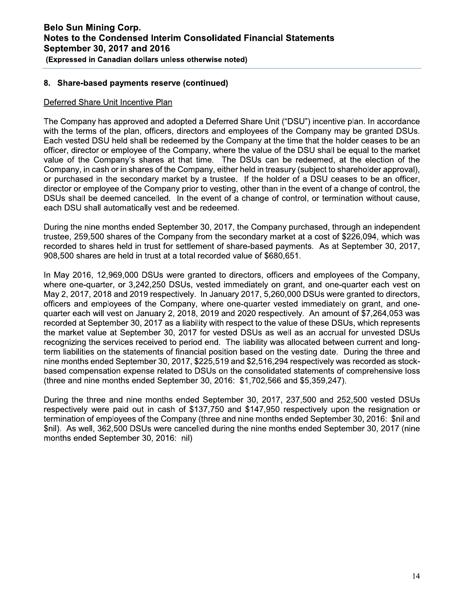#### $\mathbb{R}^{\mathbb{Z}}$ 8. Snare-based payments reserve (continued)

#### $\mathbf{r}$ <u>Deferred Share Unit Incentive Plan</u>

 $\overline{\phantom{a}}$ The Company has approved and adopted a Deferred Share Unit ("DSU") incentive plan. In accordance with the terms of the plan, officers, directors and employees of the Company may be granted DSUs. Each vested DSU held shall be redeemed by the Company at the time that the holder ceases to be an officer, director or employee of the Company, where the value of the DSU shall be equal to the market value of the Company's shares at that time. The DSUs can be redeemed, at the election of the Company, in cash or in shares of the Company, either held in treasury (subject to shareholder approval), or purchased in the secondary market by a trustee. If the holder of a DSU ceases to be an officer, director or employee of the Company prior to vesting, other than in the event of a change of control, the DSUs shall be deemed cancelled. In the event of a change of control, or termination without cause, each DSU shall automatically vest and be redeemed.

 $\mathbf{r}$ During the nine months ended September 30, 2017, the Company purchased, through an independent trustee, 259,500 shares of the Company from the secondary market at a cost of \$226,094, which was recorded to shares held in trust for settlement of share-based payments. As at September 30, 2017, 908,500 shares are held in trust at a total recorded value of \$680,651.

 $\mathbb{R}^{\mathbb{Z}}$ In May 2016, 12,969,000 DSUs were granted to directors, officers and employees of the Company, where one-quarter, or 3.242.250 DSUs, vested immediately on grant, and one-quarter each vest on May 2, 2017, 2018 and 2019 respectively. In January 2017, 5,260,000 DSUs were granted to directors, officers and employees of the Company, where one-quarter vested immediately on grant, and onequarter each will vest on January 2, 2018, 2019 and 2020 respectively. An amount of \$7,264,053 was recorded at September 30, 2017 as a liability with respect to the value of these DSUs, which represents the market value at September 30, 2017 for vested DSUs as well as an accrual for unvested DSUs recognizing the services received to period end. The liability was allocated between current and longterm liabilities on the statements of financial position based on the vesting date. During the three and nine months ended September 30, 2017, \$225,519 and \$2,516,294 respectively was recorded as stockbased compensation expense related to DSUs on the consolidated statements of comprehensive loss  $($ three and nine months ended September 30, 2016:  $$1,702,566$  and  $$5,359,247$ ).

 $\mathbf{r}$ During the three and hine months ended September 30, 2017, 237,500 and 252,500 vested DSUs respectively were paid out in cash of \$137,750 and \$147,950 respectively upon the resignation or termination of employees of the Company (three and nine months ended September 30, 2016: \$nil and  $\text{fnil}$ . As well, 362,500 DSUs were cancelled during the nine months ended September 30, 2017 (nine months ended September 30, 2016: nil)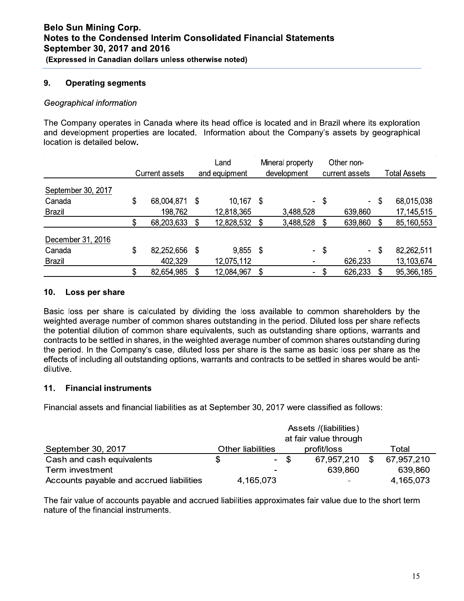#### 9. **Operating segments**

#### Geographical information

The Company operates in Canada where its head office is located and in Brazil where its exploration and development properties are located. Information about the Company's assets by geographical location is detailed below.

|                    | <b>Current assets</b> | Land<br>and equipment |    | Mineral property<br>development |    | Other non-<br>current assets | <b>Total Assets</b> |
|--------------------|-----------------------|-----------------------|----|---------------------------------|----|------------------------------|---------------------|
| September 30, 2017 |                       |                       |    |                                 |    |                              |                     |
| Canada             | \$<br>68,004,871      | \$<br>10,167          | S  | Ξ.                              | \$ | $\blacksquare$               | \$<br>68,015,038    |
| Brazil             | 198,762               | 12,818,365            |    | 3,488,528                       |    | 639,860                      | 17, 145, 515        |
|                    | 68,203,633            | 12,828,532            | S  | 3,488,528                       | S  | 639,860                      | \$<br>85,160,553    |
| December 31, 2016  |                       |                       |    |                                 |    |                              |                     |
| Canada             | \$<br>82,252,656      | \$<br>9,855           | \$ | $\blacksquare$                  | \$ | $\sim$                       | \$<br>82,262,511    |
| Brazil             | 402,329               | 12,075,112            |    | ۰                               |    | 626,233                      | 13,103,674          |
|                    | \$<br>82,654,985      | 12,084,967            | \$ | ۰                               | S  | 626,233                      | \$<br>95,366,185    |

#### $10.$ Loss per share

Basic loss per share is calculated by dividing the loss available to common shareholders by the weighted average number of common shares outstanding in the period. Diluted loss per share reflects the potential dilution of common share equivalents, such as outstanding share options, warrants and contracts to be settled in shares, in the weighted average number of common shares outstanding during the period. In the Company's case, diluted loss per share is the same as basic loss per share as the effects of including all outstanding options, warrants and contracts to be settled in shares would be antidilutive.

#### $11.$ **Financial instruments**

Financial assets and financial liabilities as at September 30, 2017 were classified as follows:

|                                          | Assets /(liabilities)    |      |             |       |            |  |  |  |
|------------------------------------------|--------------------------|------|-------------|-------|------------|--|--|--|
|                                          |                          |      |             |       |            |  |  |  |
| September 30, 2017                       | <b>Other liabilities</b> |      | profit/loss | Total |            |  |  |  |
| Cash and cash equivalents                |                          | - \$ | 67,957,210  | \$    | 67,957,210 |  |  |  |
| Term investment                          | ۰                        |      | 639,860     |       | 639,860    |  |  |  |
| Accounts payable and accrued liabilities | 4,165,073                |      |             |       | 4,165,073  |  |  |  |

The fair value of accounts payable and accrued liabilities approximates fair value due to the short term nature of the financial instruments.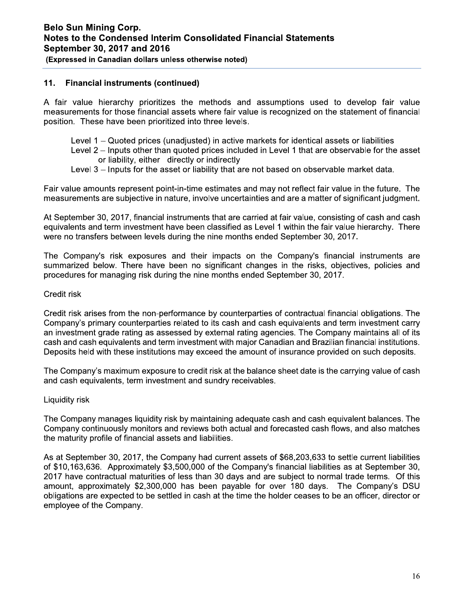#### $11.$ **Financial instruments (continued)**

A fair value hierarchy prioritizes the methods and assumptions used to develop fair value measurements for those financial assets where fair value is recognized on the statement of financial position. These have been prioritized into three levels.

Level 1 – Quoted prices (unadjusted) in active markets for identical assets or liabilities

Level 2 – Inputs other than quoted prices included in Level 1 that are observable for the asset or liability, either directly or indirectly

Level 3 – Inputs for the asset or liability that are not based on observable market data.

Fair value amounts represent point-in-time estimates and may not reflect fair value in the future. The measurements are subjective in nature, involve uncertainties and are a matter of significant judgment.

At September 30, 2017, financial instruments that are carried at fair value, consisting of cash and cash equivalents and term investment have been classified as Level 1 within the fair value hierarchy. There were no transfers between levels during the nine months ended September 30, 2017.

The Company's risk exposures and their impacts on the Company's financial instruments are summarized below. There have been no significant changes in the risks, objectives, policies and procedures for managing risk during the nine months ended September 30, 2017.

#### Credit risk

Credit risk arises from the non-performance by counterparties of contractual financial obligations. The Company's primary counterparties related to its cash and cash equivalents and term investment carry an investment grade rating as assessed by external rating agencies. The Company maintains all of its cash and cash equivalents and term investment with major Canadian and Brazilian financial institutions. Deposits held with these institutions may exceed the amount of insurance provided on such deposits.

The Company's maximum exposure to credit risk at the balance sheet date is the carrying value of cash and cash equivalents, term investment and sundry receivables.

#### Liquidity risk

The Company manages liquidity risk by maintaining adequate cash and cash equivalent balances. The Company continuously monitors and reviews both actual and forecasted cash flows, and also matches the maturity profile of financial assets and liabilities.

As at September 30, 2017, the Company had current assets of \$68,203,633 to settle current liabilities of \$10,163,636. Approximately \$3,500,000 of the Company's financial liabilities as at September 30, 2017 have contractual maturities of less than 30 days and are subject to normal trade terms. Of this amount, approximately \$2,300,000 has been payable for over 180 days. The Company's DSU obligations are expected to be settled in cash at the time the holder ceases to be an officer, director or employee of the Company.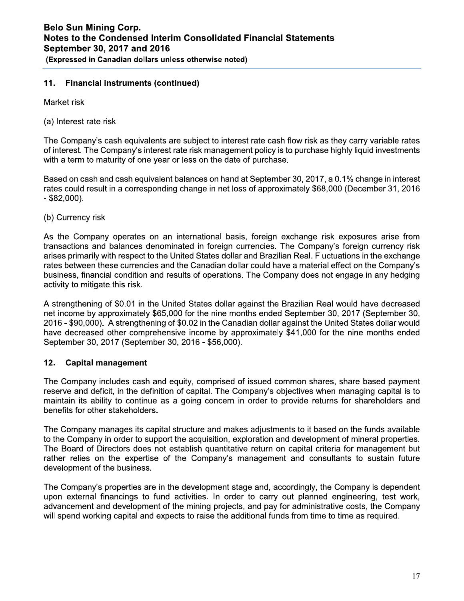#### $11.$ **Financial instruments (continued)**

Market risk

(a) Interest rate risk

The Company's cash equivalents are subject to interest rate cash flow risk as they carry variable rates of interest. The Company's interest rate risk management policy is to purchase highly liquid investments with a term to maturity of one year or less on the date of purchase.

Based on cash and cash equivalent balances on hand at September 30, 2017, a 0.1% change in interest rates could result in a corresponding change in net loss of approximately \$68,000 (December 31, 2016  $-$  \$82,000).

(b) Currency risk

As the Company operates on an international basis, foreign exchange risk exposures arise from transactions and balances denominated in foreign currencies. The Company's foreign currency risk arises primarily with respect to the United States dollar and Brazilian Real. Fluctuations in the exchange rates between these currencies and the Canadian dollar could have a material effect on the Company's business, financial condition and results of operations. The Company does not engage in any hedging activity to mitigate this risk.

A strengthening of \$0.01 in the United States dollar against the Brazilian Real would have decreased net income by approximately \$65,000 for the nine months ended September 30, 2017 (September 30, 2016 - \$90,000). A strengthening of \$0.02 in the Canadian dollar against the United States dollar would have decreased other comprehensive income by approximately \$41,000 for the nine months ended September 30, 2017 (September 30, 2016 - \$56,000).

#### $12.$ **Capital management**

The Company includes cash and equity, comprised of issued common shares, share-based payment reserve and deficit, in the definition of capital. The Company's objectives when managing capital is to maintain its ability to continue as a going concern in order to provide returns for shareholders and benefits for other stakeholders.

The Company manages its capital structure and makes adjustments to it based on the funds available to the Company in order to support the acquisition, exploration and development of mineral properties. The Board of Directors does not establish quantitative return on capital criteria for management but rather relies on the expertise of the Company's management and consultants to sustain future development of the business.

The Company's properties are in the development stage and, accordingly, the Company is dependent upon external financings to fund activities. In order to carry out planned engineering, test work, advancement and development of the mining projects, and pay for administrative costs, the Company will spend working capital and expects to raise the additional funds from time to time as required.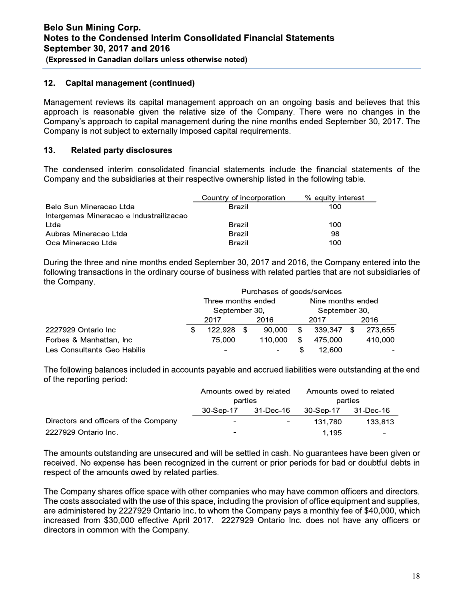#### $12.$ **Capital management (continued)**

Management reviews its capital management approach on an ongoing basis and believes that this approach is reasonable given the relative size of the Company. There were no changes in the Company's approach to capital management during the nine months ended September 30, 2017. The Company is not subject to externally imposed capital requirements.

#### $13.$ **Related party disclosures**

The condensed interim consolidated financial statements include the financial statements of the Company and the subsidiaries at their respective ownership listed in the following table.

|                                         | Country of incorporation | % equity interest |
|-----------------------------------------|--------------------------|-------------------|
| Belo Sun Mineracao Ltda                 | <b>Brazil</b>            | 100               |
| Intergemas Mineracao e Industrailizacao |                          |                   |
| Ltda                                    | Brazil                   | 100               |
| Aubras Mineracao Ltda                   | <b>Brazil</b>            | 98                |
| Oca Mineracao Ltda                      | <b>Brazil</b>            | 100               |

During the three and nine months ended September 30, 2017 and 2016, the Company entered into the following transactions in the ordinary course of business with related parties that are not subsidiaries of the Company.

|                             | Purchases of goods/services |                          |      |               |                   |         |     |         |  |
|-----------------------------|-----------------------------|--------------------------|------|---------------|-------------------|---------|-----|---------|--|
|                             |                             | Three months ended       |      |               | Nine months ended |         |     |         |  |
|                             | September 30,               |                          |      | September 30, |                   |         |     |         |  |
|                             |                             | 2017                     |      | 2016          | 2017              |         |     | 2016    |  |
| 2227929 Ontario Inc.        |                             | 122.928                  | - \$ | 90.000        | -S                | 339.347 | \$. | 273,655 |  |
| Forbes & Manhattan, Inc.    |                             | 75,000                   |      | 110.000       | \$                | 475.000 |     | 410,000 |  |
| Les Consultants Geo Habilis |                             | $\overline{\phantom{a}}$ |      | ۰             |                   | 12.600  |     |         |  |

The following balances included in accounts payable and accrued liabilities were outstanding at the end of the reporting period:

|                                       | Amounts owed by related<br>parties |                          | Amounts owed to related<br>parties |                 |  |  |
|---------------------------------------|------------------------------------|--------------------------|------------------------------------|-----------------|--|--|
|                                       | 30-Sep-17 31-Dec-16                |                          | 30-Sep-17 31-Dec-16                |                 |  |  |
| Directors and officers of the Company | -                                  | $\sim$                   | 131.780                            | 133.813         |  |  |
| 2227929 Ontario Inc.                  | $\overline{\phantom{0}}$           | <b>Contract Contract</b> | 1.195                              | $\qquad \qquad$ |  |  |

The amounts outstanding are unsecured and will be settled in cash. No quarantees have been given or received. No expense has been recognized in the current or prior periods for bad or doubtful debts in respect of the amounts owed by related parties.

The Company shares office space with other companies who may have common officers and directors. The costs associated with the use of this space, including the provision of office equipment and supplies, are administered by 2227929 Ontario Inc. to whom the Company pays a monthly fee of \$40,000, which increased from \$30,000 effective April 2017. 2227929 Ontario Inc. does not have any officers or directors in common with the Company.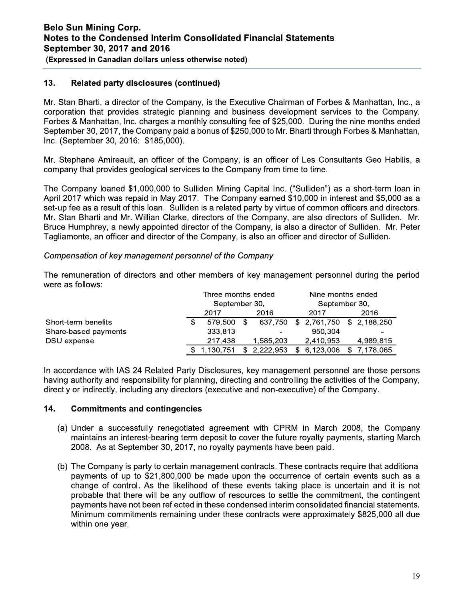#### $13.$ **Related party disclosures (continued)**

Mr. Stan Bharti, a director of the Company, is the Executive Chairman of Forbes & Manhattan, Inc., a corporation that provides strategic planning and business development services to the Company. Forbes & Manhattan, Inc. charges a monthly consulting fee of \$25,000. During the nine months ended September 30, 2017, the Company paid a bonus of \$250,000 to Mr. Bharti through Forbes & Manhattan, Inc. (September 30, 2016: \$185,000).

Mr. Stephane Amireault, an officer of the Company, is an officer of Les Consultants Geo Habilis, a company that provides geological services to the Company from time to time.

The Company loaned \$1,000,000 to Sulliden Mining Capital Inc. ("Sulliden") as a short-term loan in April 2017 which was repaid in May 2017. The Company earned \$10,000 in interest and \$5,000 as a set-up fee as a result of this loan. Sulliden is a related party by virtue of common officers and directors. Mr. Stan Bharti and Mr. Willian Clarke, directors of the Company, are also directors of Sulliden. Mr. Bruce Humphrey, a newly appointed director of the Company, is also a director of Sulliden. Mr. Peter Tagliamonte, an officer and director of the Company, is also an officer and director of Sulliden.

#### Compensation of key management personnel of the Company

The remuneration of directors and other members of key management personnel during the period were as follows:

|                      | Three months ended |     |           |      | Nine months ended         |  |             |  |  |
|----------------------|--------------------|-----|-----------|------|---------------------------|--|-------------|--|--|
|                      | September 30,      |     |           |      | September 30,             |  |             |  |  |
|                      | 2016<br>2017       |     |           | 2017 |                           |  | 2016        |  |  |
| Short-term benefits  | 579.500            |     | 637.750   |      | \$ 2,761,750 \$ 2,188,250 |  |             |  |  |
| Share-based payments | 333,813            |     |           |      | 950.304                   |  |             |  |  |
| DSU expense          | 217.438            |     | 1,585,203 |      | 2,410,953                 |  | 4,989,815   |  |  |
|                      | \$1.130.751        | \$. | 2.222.953 | \$.  | 6.123.006                 |  | \$7.178.065 |  |  |

In accordance with IAS 24 Related Party Disclosures, key management personnel are those persons having authority and responsibility for planning, directing and controlling the activities of the Company, directly or indirectly, including any directors (executive and non-executive) of the Company.

#### 14. **Commitments and contingencies**

- (a) Under a successfully renegotiated agreement with CPRM in March 2008, the Company maintains an interest-bearing term deposit to cover the future royalty payments, starting March 2008. As at September 30, 2017, no royalty payments have been paid.
- (b) The Company is party to certain management contracts. These contracts require that additional payments of up to \$21,800,000 be made upon the occurrence of certain events such as a change of control. As the likelihood of these events taking place is uncertain and it is not probable that there will be any outflow of resources to settle the commitment, the contingent payments have not been reflected in these condensed interim consolidated financial statements. Minimum commitments remaining under these contracts were approximately \$825,000 all due within one year.